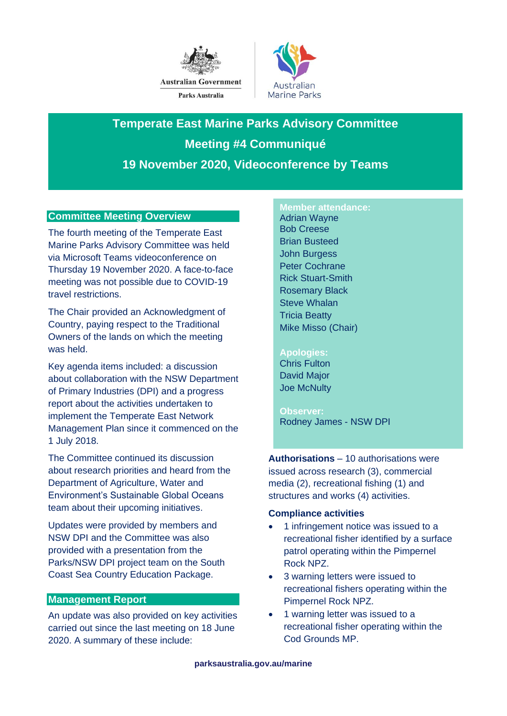



**Temperate East Marine Parks Advisory Committee Meeting #4 Communiqué 19 November 2020, Videoconference by Teams**

# **Committee Meeting Overview**

The fourth meeting of the Temperate East Marine Parks Advisory Committee was held via Microsoft Teams videoconference on Thursday 19 November 2020. A face-to-face meeting was not possible due to COVID-19 travel restrictions.

The Chair provided an Acknowledgment of Country, paying respect to the Traditional Owners of the lands on which the meeting was held.

Key agenda items included: a discussion about collaboration with the NSW Department of Primary Industries (DPI) and a progress report about the activities undertaken to implement the Temperate East Network Management Plan since it commenced on the 1 July 2018.

The Committee continued its discussion about research priorities and heard from the Department of Agriculture, Water and Environment's Sustainable Global Oceans team about their upcoming initiatives.

Updates were provided by members and NSW DPI and the Committee was also provided with a presentation from the Parks/NSW DPI project team on the South Coast Sea Country Education Package.

# **Management Report**

An update was also provided on key activities carried out since the last meeting on 18 June 2020. A summary of these include:

#### **Member attendance:**

Adrian Wayne Bob Creese Brian Busteed John Burgess Peter Cochrane Rick Stuart-Smith Rosemary Black Steve Whalan Tricia Beatty Mike Misso (Chair)

### **Apologies:**

Chris Fulton David Major Joe McNulty

**Observer:** Rodney James - NSW DPI

**Authorisations** – 10 authorisations were issued across research (3), commercial media (2), recreational fishing (1) and structures and works (4) activities.

### **Compliance activities**

- 1 infringement notice was issued to a recreational fisher identified by a surface patrol operating within the Pimpernel Rock NPZ.
- 3 warning letters were issued to recreational fishers operating within the Pimpernel Rock NPZ.
- 1 warning letter was issued to a recreational fisher operating within the Cod Grounds MP.